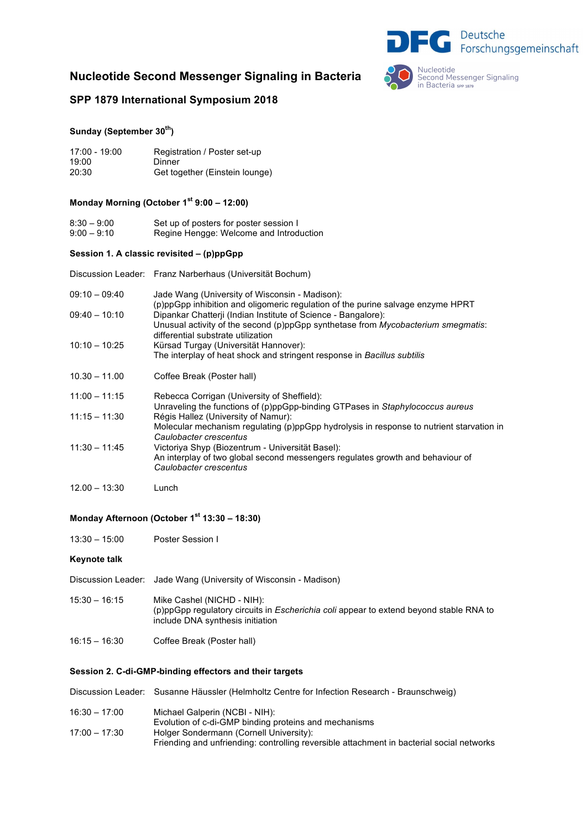## **Nucleotide Second Messenger Signaling in Bacteria**



## **SPP 1879 International Symposium 2018**

## **Sunday (September 30th)**

| $17:00 - 19:00$ | Registration / Poster set-up   |
|-----------------|--------------------------------|
| 19:00           | Dinner                         |
| 20:30           | Get together (Einstein lounge) |

### **Monday Morning (October 1st 9:00 – 12:00)**

| $8:30 - 9:00$ | Set up of posters for poster session I  |
|---------------|-----------------------------------------|
| $9:00 - 9:10$ | Regine Hengge: Welcome and Introduction |

#### **Session 1. A classic revisited – (p)ppGpp**

Discussion Leader: Franz Narberhaus (Universität Bochum)

| $09:10 - 09:40$ | Jade Wang (University of Wisconsin - Madison):<br>(p)ppGpp inhibition and oligomeric regulation of the purine salvage enzyme HPRT |
|-----------------|-----------------------------------------------------------------------------------------------------------------------------------|
| $09:40 - 10:10$ | Dipankar Chatterji (Indian Institute of Science - Bangalore):                                                                     |
|                 | Unusual activity of the second (p)ppGpp synthetase from <i>Mycobacterium smegmatis</i> :                                          |
| $10:10 - 10:25$ | differential substrate utilization<br>Kürsad Turgay (Universität Hannover):                                                       |
|                 | The interplay of heat shock and stringent response in Bacillus subtilis                                                           |
| $10.30 - 11.00$ | Coffee Break (Poster hall)                                                                                                        |
| $11:00 - 11:15$ | Rebecca Corrigan (University of Sheffield):                                                                                       |
|                 | Unraveling the functions of (p)ppGpp-binding GTPases in Staphylococcus aureus                                                     |
| $11:15 - 11:30$ | Régis Hallez (University of Namur):<br>Molecular mechanism regulating (p)ppGpp hydrolysis in response to nutrient starvation in   |
|                 | Caulobacter crescentus                                                                                                            |
| $11:30 - 11:45$ | Victoriya Shyp (Biozentrum - Universität Basel):                                                                                  |
|                 | An interplay of two global second messengers regulates growth and behaviour of<br>Caulobacter crescentus                          |
| $12.00 - 13:30$ | Lunch                                                                                                                             |

## **Monday Afternoon (October 1st 13:30 – 18:30)**

13:30 – 15:00 Poster Session I

#### **Keynote talk**

- Discussion Leader: Jade Wang (University of Wisconsin Madison)
- 15:30 16:15 Mike Cashel (NICHD NIH): (p)ppGpp regulatory circuits in *Escherichia coli* appear to extend beyond stable RNA to include DNA synthesis initiation
- 16:15 16:30 Coffee Break (Poster hall)

#### **Session 2. C-di-GMP-binding effectors and their targets**

|                 | Discussion Leader: Susanne Häussler (Helmholtz Centre for Infection Research - Braunschweig) |
|-----------------|----------------------------------------------------------------------------------------------|
| $16:30 - 17:00$ | Michael Galperin (NCBI - NIH):                                                               |
|                 | Evolution of c-di-GMP binding proteins and mechanisms                                        |
| $17:00 - 17:30$ | Holger Sondermann (Cornell University):                                                      |
|                 | Friending and unfriending: controlling reversible attachment in bacterial social networks    |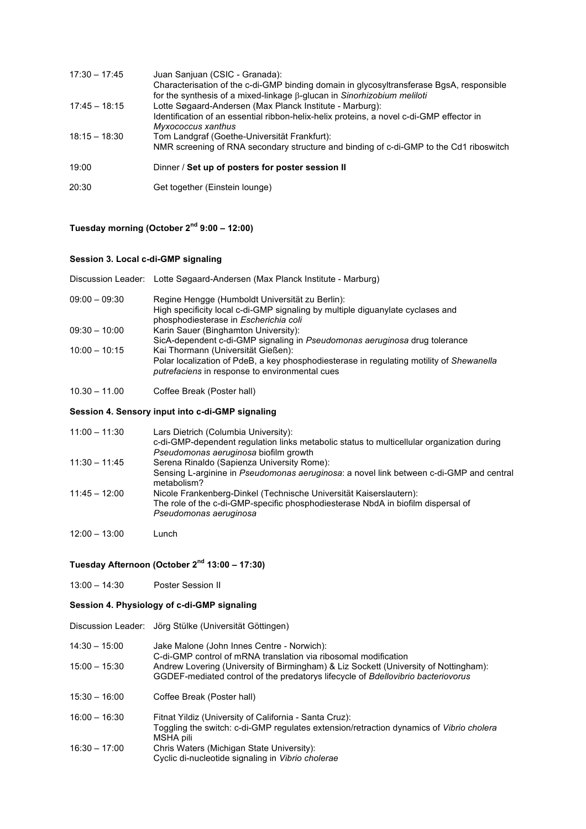| $17:30 - 17:45$ | Juan Sanjuan (CSIC - Granada):<br>Characterisation of the c-di-GMP binding domain in glycosyltransferase BgsA, responsible<br>for the synthesis of a mixed-linkage $\beta$ -glucan in Sinorhizobium meliloti |
|-----------------|--------------------------------------------------------------------------------------------------------------------------------------------------------------------------------------------------------------|
| $17:45 - 18:15$ | Lotte Søgaard-Andersen (Max Planck Institute - Marburg):<br>Identification of an essential ribbon-helix-helix proteins, a novel c-di-GMP effector in<br>Myxococcus xanthus                                   |
| $18:15 - 18:30$ | Tom Landgraf (Goethe-Universität Frankfurt):<br>NMR screening of RNA secondary structure and binding of c-di-GMP to the Cd1 riboswitch                                                                       |
| 19:00           | Dinner / Set up of posters for poster session II                                                                                                                                                             |
| 20:30           | Get together (Einstein lounge)                                                                                                                                                                               |

## **Tuesday morning (October 2nd 9:00 – 12:00)**

### **Session 3. Local c-di-GMP signaling**

|  | Discussion Leader: Lotte Søgaard-Andersen (Max Planck Institute - Marburg) |
|--|----------------------------------------------------------------------------|
|  |                                                                            |

- 09:00 09:30 Regine Hengge (Humboldt Universität zu Berlin): High specificity local c-di-GMP signaling by multiple diguanylate cyclases and phosphodiesterase in *Escherichia coli* 09:30 – 10:00 Karin Sauer (Binghamton University): SicA-dependent c-di-GMP signaling in *Pseudomonas aeruginosa* drug tolerance 10:00 – 10:15 Kai Thormann (Universität Gießen): Polar localization of PdeB, a key phosphodiesterase in regulating motility of *Shewanella putrefaciens* in response to environmental cues
- 10.30 11.00 Coffee Break (Poster hall)

#### **Session 4. Sensory input into c-di-GMP signaling**

| $11:00 - 11:30$ | Lars Dietrich (Columbia University):                                                                   |
|-----------------|--------------------------------------------------------------------------------------------------------|
|                 | c-di-GMP-dependent regulation links metabolic status to multicellular organization during              |
|                 | Pseudomonas aeruginosa biofilm growth                                                                  |
| $11:30 - 11:45$ | Serena Rinaldo (Sapienza University Rome):                                                             |
|                 | Sensing L-arginine in Pseudomonas aeruginosa: a novel link between c-di-GMP and central<br>metabolism? |
| 11:45 – 12:00   | Nicole Frankenberg-Dinkel (Technische Universität Kaiserslautern):                                     |
|                 | The role of the c-di-GMP-specific phosphodiesterase NbdA in biofilm dispersal of                       |
|                 | Pseudomonas aeruginosa                                                                                 |
|                 |                                                                                                        |

12:00 – 13:00 Lunch

## **Tuesday Afternoon (October 2nd 13:00 – 17:30)**

13:00 – 14:30 Poster Session II

#### **Session 4. Physiology of c-di-GMP signaling**

Discussion Leader: Jörg Stülke (Universität Göttingen)

- 14:30 15:00 Jake Malone (John Innes Centre Norwich): C-di-GMP control of mRNA translation via ribosomal modification 15:00 – 15:30 Andrew Lovering (University of Birmingham) & Liz Sockett (University of Nottingham): GGDEF-mediated control of the predatorys lifecycle of *Bdellovibrio bacteriovorus*
- 15:30 16:00 Coffee Break (Poster hall)
- 16:00 16:30 Fitnat Yildiz (University of California Santa Cruz): Toggling the switch: c-di-GMP regulates extension/retraction dynamics of *Vibrio cholera*  MSHA pili 16:30 – 17:00 Chris Waters (Michigan State University): Cyclic di-nucleotide signaling in *Vibrio cholerae*